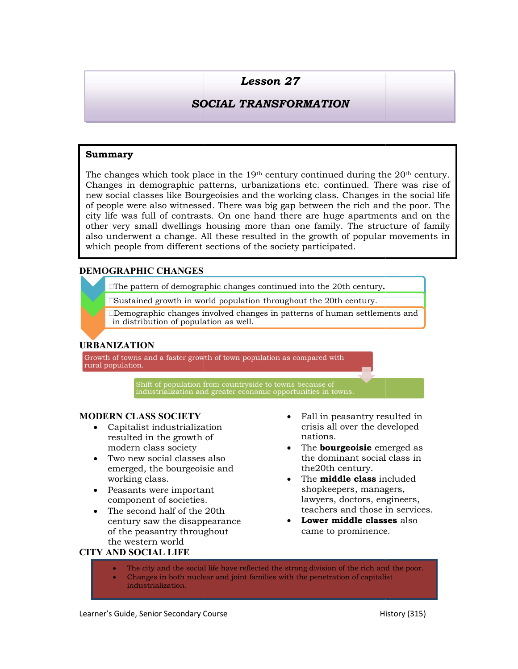# SOCIAL TRANSFORMATION

#### Summary

**Summary**<br>
The changes which took place in the 19<sup>th</sup> century continued during<br>
The changes in demographic patterns, urbanizations etc. continued. The<br>
new social classes like Bourgeoisies and the working class. Changes<br> The changes which took place in the 19<sup>th</sup> century continued during the 20<sup>th</sup> century. Changes in demographic patterns, urbanizations etc. continued. There was rise of new social classes like Bourgeoisies and the working class. Changes in the social life of people were also witnessed. There was big gap between the rich and the poor city life was full of contrasts. On one hand there are huge apartments and on the other very small dwellings housing more than one family. The structure of family also underwent a change. All these resulted in the growth of popular movements in which people from different sections of the society participated. **Example 16 SUSTAN SECTAL TRANSFORMATION**<br> **SOCIAL TRANSFORMATION**<br> **Analy analy and the state of the state of the state of the state of the state of the state of the state of the behavior of the wich in the wich continue** sasses like Bourgeoisies and the working class. Changes in the social life<br>
class. Wincomed the rich mand there are buge apartments and on the<br>
full of contrasts. On one hand there are buge apartments and on the<br>
full of c century continued during the 20<sup>th</sup> century.<br>
izations etc. continued. There was rise of<br>
he working class. Changes in the social life<br>
big gap between the rich and the poor. The<br>
md there are huge apartments and on the<br>
t langes in demographic patterns, urbanizations etc. continued. There was rise of<br>w social classes like Bourgeoisies and the working class. Changes in the social life<br>people were also witnessed. There was big gap between the city life was full of contrasts. One hand there are huge apartment<br>and the small develops both and the small develops from the small description of the society participated.<br>
<br> **EMOGRAPHIC CHANGES**<br> **EMOGRAPHIC CHANGES**<br>

### DEMOGRAPHIC CHANGES

 $\Box$ The pattern of demographic changes continued into the 20th century.  $\qquad \qquad \Box$ 

Sustained growth in world population throughout the 20th century.

Demographic changes involved changes in patterns of human settlements and in distribution of population as well.

#### URBANIZATION

Growth of towns and a faster growth of town population as compared with

Shift of population from countryside to towns because of industrialization and greater economic opportunities in towns.

#### **MODERN CLASS SOCIETY** • Fall in peasantry resulted in

- Capitalist industrialization resulted in the growth of modern class society Capitalist industrialization crisis all over<br>
resulted in the growth of the mations.<br>
modern class society<br>
Two new social classes also the dominan<br>
emerged, the bourgeoisie and the 20th cent
- Two new social classes also working class.
- Peasants were important component of societies
- The second half of the 20th century saw the disappearance of the peasantry throughout the western world

## CITY AND SOCIAL LIFE

- crisis all over the developed nations.
- The **bourgeoisie** emerged as the dominant social class in the20th century. **isie** emerged as<br>t social class in<br>ury.<br>**class** included<br>, managers,
- **EXECUASS SOCIETY**<br>
Capitalist industrialization<br>
resulted in the growth of<br>
modern class society<br>
The **bourgeoisie** emerged as<br>
Two new social classes also<br>
the dominant social class in<br>
emerged, the bourgeoisie and<br>
work • The **middle class** included shopkeepers, managers, lawyers, doctors, engineers, teachers and those in services.
	- Lower middle classes also came to prominence .
- The city and the social life have reflected the strong division of the rich and the poor.
- Changes in both nuclear and joint families with the penetration of capitalist industrialization.